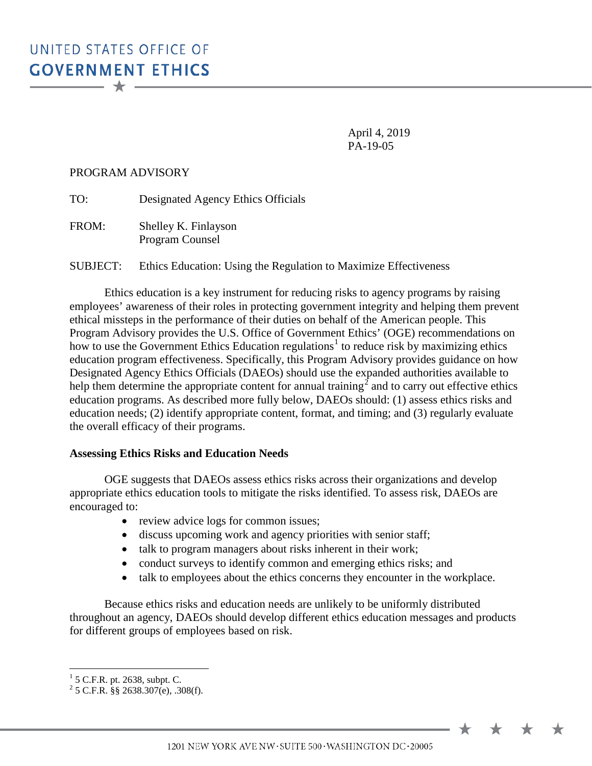April 4, 2019 PA-19-05

### PROGRAM ADVISORY

TO: Designated Agency Ethics Officials

FROM: Shelley K. Finlayson Program Counsel

SUBJECT: Ethics Education: Using the Regulation to Maximize Effectiveness

Ethics education is a key instrument for reducing risks to agency programs by raising employees' awareness of their roles in protecting government integrity and helping them prevent ethical missteps in the performance of their duties on behalf of the American people. This Program Advisory provides the U.S. Office of Government Ethics' (OGE) recommendations on how to use the Government Ethics Education regulations<sup>[1](#page-0-0)</sup> to reduce risk by maximizing ethics education program effectiveness. Specifically, this Program Advisory provides guidance on how Designated Agency Ethics Officials (DAEOs) should use the expanded authorities available to help them determine the appropriate content for annual training<sup>[2](#page-0-1)</sup> and to carry out effective ethics education programs. As described more fully below, DAEOs should: (1) assess ethics risks and education needs; (2) identify appropriate content, format, and timing; and (3) regularly evaluate the overall efficacy of their programs.

#### **Assessing Ethics Risks and Education Needs**

OGE suggests that DAEOs assess ethics risks across their organizations and develop appropriate ethics education tools to mitigate the risks identified. To assess risk, DAEOs are encouraged to:

- review advice logs for common issues;
- discuss upcoming work and agency priorities with senior staff;
- talk to program managers about risks inherent in their work;
- conduct surveys to identify common and emerging ethics risks; and
- talk to employees about the ethics concerns they encounter in the workplace.

Because ethics risks and education needs are unlikely to be uniformly distributed throughout an agency, DAEOs should develop different ethics education messages and products for different groups of employees based on risk.

1201 NEW YORK AVE NW · SUITE 500 · WASHINGTON DC · 20005

<span id="page-0-1"></span>

<span id="page-0-0"></span> $\frac{1}{2}$  5 C.F.R. pt. 2638, subpt. C.<br> $\frac{2}{5}$  C.F.R. §§ 2638.307(e), .308(f).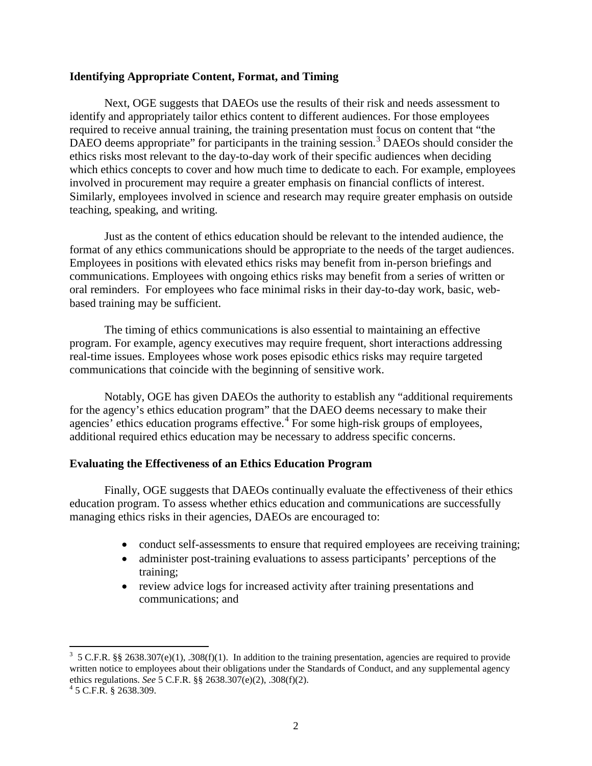## **Identifying Appropriate Content, Format, and Timing**

Next, OGE suggests that DAEOs use the results of their risk and needs assessment to identify and appropriately tailor ethics content to different audiences. For those employees required to receive annual training, the training presentation must focus on content that "the DAEO deems appropriate" for participants in the training session.<sup>[3](#page-1-0)</sup> DAEOs should consider the ethics risks most relevant to the day-to-day work of their specific audiences when deciding which ethics concepts to cover and how much time to dedicate to each. For example, employees involved in procurement may require a greater emphasis on financial conflicts of interest. Similarly, employees involved in science and research may require greater emphasis on outside teaching, speaking, and writing.

Just as the content of ethics education should be relevant to the intended audience, the format of any ethics communications should be appropriate to the needs of the target audiences. Employees in positions with elevated ethics risks may benefit from in-person briefings and communications. Employees with ongoing ethics risks may benefit from a series of written or oral reminders. For employees who face minimal risks in their day-to-day work, basic, webbased training may be sufficient.

The timing of ethics communications is also essential to maintaining an effective program. For example, agency executives may require frequent, short interactions addressing real-time issues. Employees whose work poses episodic ethics risks may require targeted communications that coincide with the beginning of sensitive work.

Notably, OGE has given DAEOs the authority to establish any "additional requirements for the agency's ethics education program" that the DAEO deems necessary to make their agencies' ethics education programs effective.<sup>[4](#page-1-1)</sup> For some high-risk groups of employees, additional required ethics education may be necessary to address specific concerns.

# **Evaluating the Effectiveness of an Ethics Education Program**

Finally, OGE suggests that DAEOs continually evaluate the effectiveness of their ethics education program. To assess whether ethics education and communications are successfully managing ethics risks in their agencies, DAEOs are encouraged to:

- conduct self-assessments to ensure that required employees are receiving training;
- administer post-training evaluations to assess participants' perceptions of the training;
- review advice logs for increased activity after training presentations and communications; and

<span id="page-1-0"></span>3  $3\,$  5 C.F.R. §§ 2638.307(e)(1), .308(f)(1). In addition to the training presentation, agencies are required to provide written notice to employees about their obligations under the Standards of Conduct, and any supplemental agency ethics regulations. *See* 5 C.F.R. §§ 2638.307(e)(2), .308(f)(2). <sup>4</sup> 5 C.F.R. § 2638.309.

<span id="page-1-1"></span>